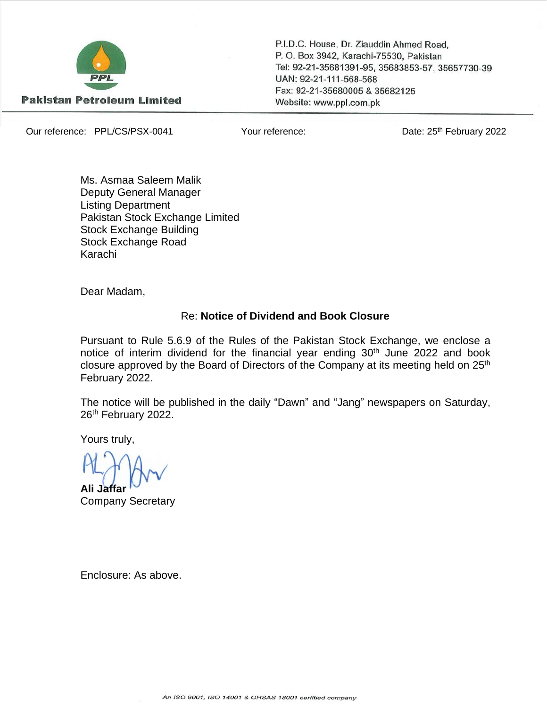

P.I.D.C. House, Dr. Ziauddin Ahmed Road, P. O. Box 3942, Karachi-75530, Pakistan Tel: 92-21-35681391-95, 35683853-57, 35657730-39 UAN: 92-21-111-568-568 Fax: 92-21-35680005 & 35682125 Website: www.ppl.com.pk

Our reference: PPL/CS/PSX-0041 Your reference:

Date: 25<sup>th</sup> February 2022

Ms. Asmaa Saleem Malik Deputy General Manager Listing Department Pakistan Stock Exchange Limited Stock Exchange Building Stock Exchange Road Karachi

Dear Madam,

#### Re: **Notice of Dividend and Book Closure**

Pursuant to Rule 5.6.9 of the Rules of the Pakistan Stock Exchange, we enclose a notice of interim dividend for the financial year ending 30<sup>th</sup> June 2022 and book closure approved by the Board of Directors of the Company at its meeting held on 25<sup>th</sup> February 2022.

The notice will be published in the daily "Dawn" and "Jang" newspapers on Saturday, 26<sup>th</sup> February 2022.

Yours truly,

**Ali Jaffar** Company Secretary

Enclosure: As above.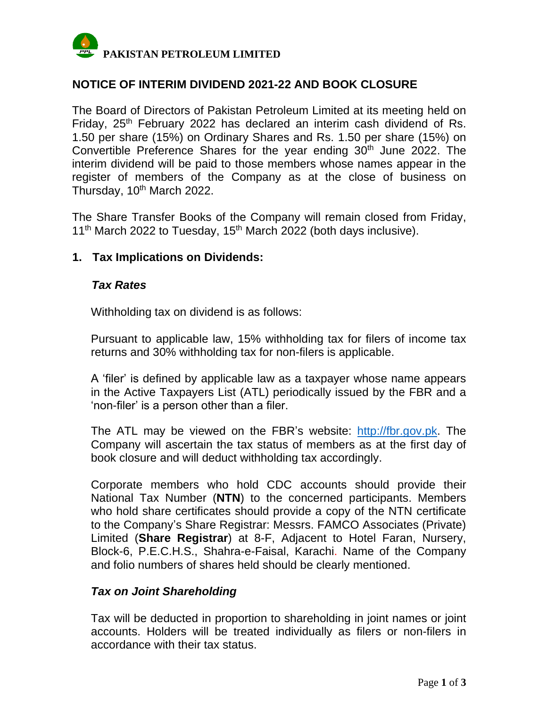

## **NOTICE OF INTERIM DIVIDEND 2021-22 AND BOOK CLOSURE**

The Board of Directors of Pakistan Petroleum Limited at its meeting held on Friday, 25<sup>th</sup> February 2022 has declared an interim cash dividend of Rs. 1.50 per share (15%) on Ordinary Shares and Rs. 1.50 per share (15%) on Convertible Preference Shares for the year ending 30<sup>th</sup> June 2022. The interim dividend will be paid to those members whose names appear in the register of members of the Company as at the close of business on Thursday, 10<sup>th</sup> March 2022.

The Share Transfer Books of the Company will remain closed from Friday, 11<sup>th</sup> March 2022 to Tuesday, 15<sup>th</sup> March 2022 (both days inclusive).

### **1. Tax Implications on Dividends:**

#### *Tax Rates*

Withholding tax on dividend is as follows:

Pursuant to applicable law, 15% withholding tax for filers of income tax returns and 30% withholding tax for non-filers is applicable.

A 'filer' is defined by applicable law as a taxpayer whose name appears in the Active Taxpayers List (ATL) periodically issued by the FBR and a 'non-filer' is a person other than a filer.

The ATL may be viewed on the FBR's website: [http://fbr.gov.pk.](http://fbr.gov.pk/) The Company will ascertain the tax status of members as at the first day of book closure and will deduct withholding tax accordingly.

Corporate members who hold CDC accounts should provide their National Tax Number (**NTN**) to the concerned participants. Members who hold share certificates should provide a copy of the NTN certificate to the Company's Share Registrar: Messrs. FAMCO Associates (Private) Limited (**Share Registrar**) at 8-F, Adjacent to Hotel Faran, Nursery, Block-6, P.E.C.H.S., Shahra-e-Faisal, Karachi. Name of the Company and folio numbers of shares held should be clearly mentioned.

### *Tax on Joint Shareholding*

Tax will be deducted in proportion to shareholding in joint names or joint accounts. Holders will be treated individually as filers or non-filers in accordance with their tax status.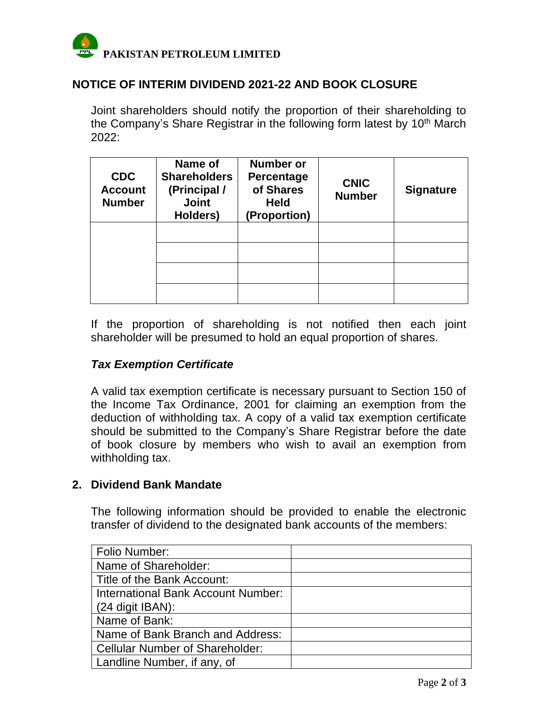

## **NOTICE OF INTERIM DIVIDEND 2021-22 AND BOOK CLOSURE**

Joint shareholders should notify the proportion of their shareholding to the Company's Share Registrar in the following form latest by 10<sup>th</sup> March 2022:

| <b>CDC</b><br><b>Account</b><br><b>Number</b> | Name of<br><b>Shareholders</b><br>(Principal /<br><b>Joint</b><br>Holders) | <b>Number or</b><br>Percentage<br>of Shares<br><b>Held</b><br>(Proportion) | <b>CNIC</b><br><b>Number</b> | <b>Signature</b> |
|-----------------------------------------------|----------------------------------------------------------------------------|----------------------------------------------------------------------------|------------------------------|------------------|
|                                               |                                                                            |                                                                            |                              |                  |
|                                               |                                                                            |                                                                            |                              |                  |
|                                               |                                                                            |                                                                            |                              |                  |
|                                               |                                                                            |                                                                            |                              |                  |

If the proportion of shareholding is not notified then each joint shareholder will be presumed to hold an equal proportion of shares.

### *Tax Exemption Certificate*

A valid tax exemption certificate is necessary pursuant to Section 150 of the Income Tax Ordinance, 2001 for claiming an exemption from the deduction of withholding tax. A copy of a valid tax exemption certificate should be submitted to the Company's Share Registrar before the date of book closure by members who wish to avail an exemption from withholding tax.

### **2. Dividend Bank Mandate**

The following information should be provided to enable the electronic transfer of dividend to the designated bank accounts of the members:

| Folio Number:                          |  |
|----------------------------------------|--|
| Name of Shareholder:                   |  |
| Title of the Bank Account:             |  |
| International Bank Account Number:     |  |
| $(24$ digit IBAN):                     |  |
| Name of Bank:                          |  |
| Name of Bank Branch and Address:       |  |
| <b>Cellular Number of Shareholder:</b> |  |
| Landline Number, if any, of            |  |